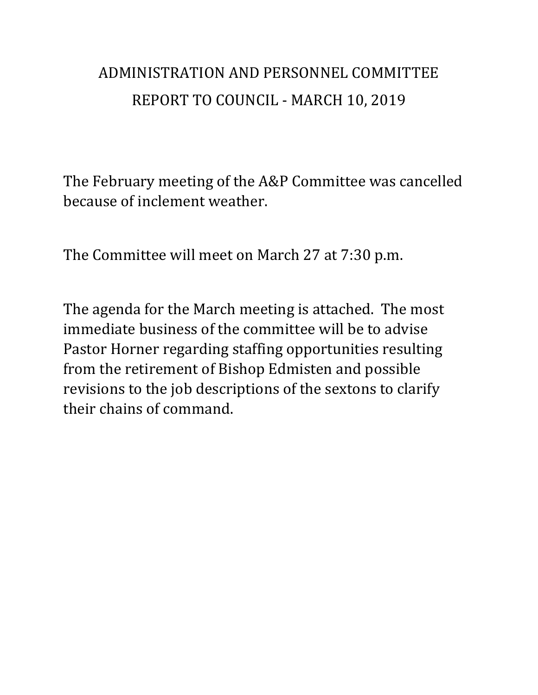## ADMINISTRATION AND PERSONNEL COMMITTEE REPORT TO COUNCIL - MARCH 10, 2019

The February meeting of the A&P Committee was cancelled because of inclement weather.

The Committee will meet on March 27 at 7:30 p.m.

The agenda for the March meeting is attached. The most immediate business of the committee will be to advise Pastor Horner regarding staffing opportunities resulting from the retirement of Bishop Edmisten and possible revisions to the job descriptions of the sextons to clarify their chains of command.